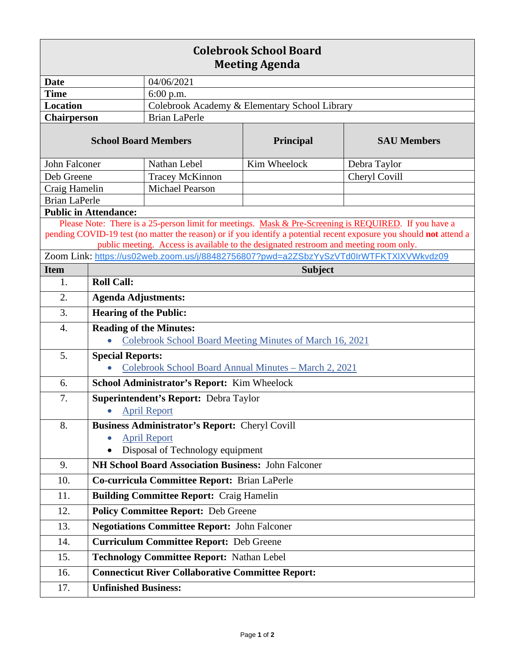| <b>Colebrook School Board</b><br><b>Meeting Agenda</b>                                                                                                                                                                       |                                                            |                                                                                       |              |                                                                                       |  |
|------------------------------------------------------------------------------------------------------------------------------------------------------------------------------------------------------------------------------|------------------------------------------------------------|---------------------------------------------------------------------------------------|--------------|---------------------------------------------------------------------------------------|--|
| <b>Date</b>                                                                                                                                                                                                                  |                                                            | 04/06/2021                                                                            |              |                                                                                       |  |
| <b>Time</b>                                                                                                                                                                                                                  |                                                            | 6:00 p.m.                                                                             |              |                                                                                       |  |
| <b>Location</b>                                                                                                                                                                                                              |                                                            | Colebrook Academy & Elementary School Library                                         |              |                                                                                       |  |
| Chairperson                                                                                                                                                                                                                  |                                                            | <b>Brian LaPerle</b>                                                                  |              |                                                                                       |  |
| <b>School Board Members</b>                                                                                                                                                                                                  |                                                            |                                                                                       | Principal    | <b>SAU Members</b>                                                                    |  |
| John Falconer                                                                                                                                                                                                                |                                                            | Nathan Lebel                                                                          | Kim Wheelock | Debra Taylor                                                                          |  |
| Deb Greene                                                                                                                                                                                                                   |                                                            | <b>Tracey McKinnon</b>                                                                |              | Cheryl Covill                                                                         |  |
| Craig Hamelin                                                                                                                                                                                                                |                                                            | <b>Michael Pearson</b>                                                                |              |                                                                                       |  |
| <b>Brian LaPerle</b>                                                                                                                                                                                                         |                                                            |                                                                                       |              |                                                                                       |  |
| <b>Public in Attendance:</b>                                                                                                                                                                                                 |                                                            |                                                                                       |              |                                                                                       |  |
| Please Note: There is a 25-person limit for meetings. Mask & Pre-Screening is REQUIRED. If you have a<br>pending COVID-19 test (no matter the reason) or if you identify a potential recent exposure you should not attend a |                                                            |                                                                                       |              |                                                                                       |  |
|                                                                                                                                                                                                                              |                                                            | public meeting. Access is available to the designated restroom and meeting room only. |              |                                                                                       |  |
|                                                                                                                                                                                                                              |                                                            |                                                                                       |              | Zoom Link: https://us02web.zoom.us/j/88482756807?pwd=a2ZSbzYySzVTd0IrWTFKTXIXVWkvdz09 |  |
| <b>Item</b>                                                                                                                                                                                                                  | <b>Subject</b>                                             |                                                                                       |              |                                                                                       |  |
| 1.                                                                                                                                                                                                                           | <b>Roll Call:</b>                                          |                                                                                       |              |                                                                                       |  |
| 2.                                                                                                                                                                                                                           | <b>Agenda Adjustments:</b>                                 |                                                                                       |              |                                                                                       |  |
| 3.                                                                                                                                                                                                                           | <b>Hearing of the Public:</b>                              |                                                                                       |              |                                                                                       |  |
| 4.                                                                                                                                                                                                                           |                                                            | <b>Reading of the Minutes:</b>                                                        |              |                                                                                       |  |
|                                                                                                                                                                                                                              |                                                            | Colebrook School Board Meeting Minutes of March 16, 2021                              |              |                                                                                       |  |
| 5.                                                                                                                                                                                                                           | <b>Special Reports:</b>                                    |                                                                                       |              |                                                                                       |  |
|                                                                                                                                                                                                                              | Colebrook School Board Annual Minutes - March 2, 2021      |                                                                                       |              |                                                                                       |  |
| 6.                                                                                                                                                                                                                           | School Administrator's Report: Kim Wheelock                |                                                                                       |              |                                                                                       |  |
| 7.                                                                                                                                                                                                                           |                                                            | Superintendent's Report: Debra Taylor                                                 |              |                                                                                       |  |
|                                                                                                                                                                                                                              |                                                            | • April Report                                                                        |              |                                                                                       |  |
| 8.                                                                                                                                                                                                                           | <b>Business Administrator's Report: Cheryl Covill</b>      |                                                                                       |              |                                                                                       |  |
|                                                                                                                                                                                                                              |                                                            | <b>April Report</b>                                                                   |              |                                                                                       |  |
|                                                                                                                                                                                                                              |                                                            | Disposal of Technology equipment                                                      |              |                                                                                       |  |
| 9.                                                                                                                                                                                                                           | <b>NH School Board Association Business: John Falconer</b> |                                                                                       |              |                                                                                       |  |
| 10.                                                                                                                                                                                                                          | Co-curricula Committee Report: Brian LaPerle               |                                                                                       |              |                                                                                       |  |
| 11.                                                                                                                                                                                                                          |                                                            | <b>Building Committee Report: Craig Hamelin</b>                                       |              |                                                                                       |  |
| 12.                                                                                                                                                                                                                          |                                                            | <b>Policy Committee Report: Deb Greene</b>                                            |              |                                                                                       |  |
| 13.                                                                                                                                                                                                                          | <b>Negotiations Committee Report: John Falconer</b>        |                                                                                       |              |                                                                                       |  |
| 14.                                                                                                                                                                                                                          | <b>Curriculum Committee Report: Deb Greene</b>             |                                                                                       |              |                                                                                       |  |
| 15.                                                                                                                                                                                                                          | Technology Committee Report: Nathan Lebel                  |                                                                                       |              |                                                                                       |  |
| 16.                                                                                                                                                                                                                          |                                                            | <b>Connecticut River Collaborative Committee Report:</b>                              |              |                                                                                       |  |
| 17.                                                                                                                                                                                                                          | <b>Unfinished Business:</b>                                |                                                                                       |              |                                                                                       |  |